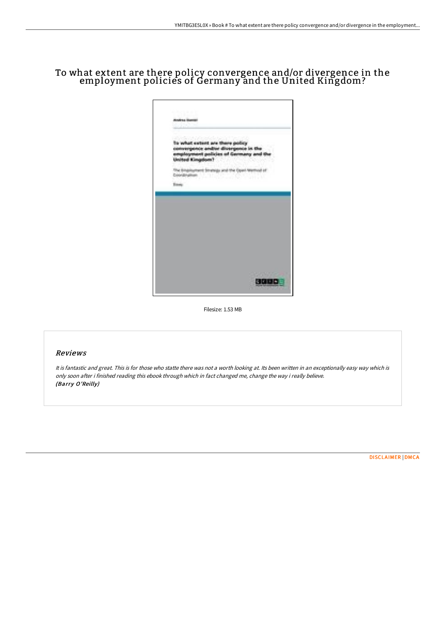## To what extent are there policy convergence and/or divergence in the employment policies of Germany and the United Kingdom?



Filesize: 1.53 MB

## Reviews

It is fantastic and great. This is for those who statte there was not <sup>a</sup> worth looking at. Its been written in an exceptionally easy way which is only soon after i finished reading this ebook through which in fact changed me, change the way i really believe. (Barry O'Reilly)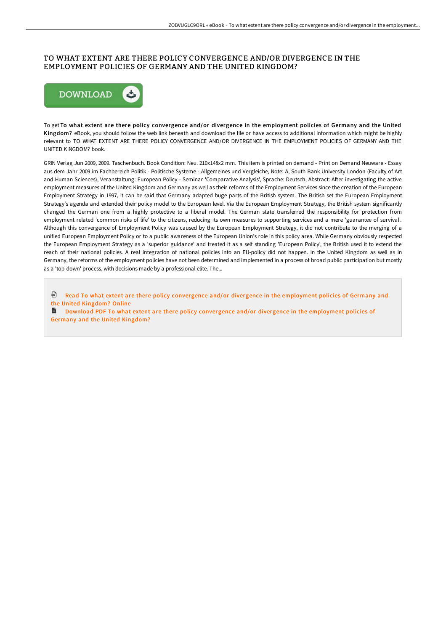## TO WHAT EXTENT ARE THERE POLICY CONVERGENCE AND/OR DIVERGENCE IN THE EMPLOYMENT POLICIES OF GERMANY AND THE UNITED KINGDOM?



To get To what extent are there policy convergence and/or divergence in the employment policies of Germany and the United Kingdom? eBook, you should follow the web link beneath and download the file or have access to additional information which might be highly relevant to TO WHAT EXTENT ARE THERE POLICY CONVERGENCE AND/OR DIVERGENCE IN THE EMPLOYMENT POLICIES OF GERMANY AND THE UNITED KINGDOM? book.

GRIN Verlag Jun 2009, 2009. Taschenbuch. Book Condition: Neu. 210x148x2 mm. This item is printed on demand - Print on Demand Neuware - Essay aus dem Jahr 2009 im Fachbereich Politik - Politische Systeme - Allgemeines und Vergleiche, Note: A, South Bank University London (Faculty of Art and Human Sciences), Veranstaltung: European Policy - Seminar 'Comparative Analysis', Sprache: Deutsch, Abstract: After investigating the active employment measures of the United Kingdom and Germany as well as their reforms of the Employment Services since the creation of the European Employment Strategy in 1997, it can be said that Germany adapted huge parts of the British system. The British set the European Employment Strategy's agenda and extended their policy model to the European level. Via the European Employment Strategy, the British system significantly changed the German one from a highly protective to a liberal model. The German state transferred the responsibility for protection from employment related 'common risks of life' to the citizens, reducing its own measures to supporting services and a mere 'guarantee of survival'. Although this convergence of Employment Policy was caused by the European Employment Strategy, it did not contribute to the merging of a unified European Employment Policy or to a public awareness of the European Union's role in this policy area. While Germany obviously respected the European Employment Strategy as a 'superior guidance' and treated it as a self standing 'European Policy', the British used it to extend the reach of their national policies. A real integration of national policies into an EU-policy did not happen. In the United Kingdom as well as in Germany, the reforms of the employment policies have not been determined and implemented in a process of broad public participation but mostly as a 'top-down' process, with decisions made by a professional elite. The...

**D** Read To what extent are there policy [convergence](http://techno-pub.tech/to-what-extent-are-there-policy-convergence-and-.html) and/or divergence in the employment policies of Germany and the United Kingdom? Online

Download PDF To what extent are there policy [convergence](http://techno-pub.tech/to-what-extent-are-there-policy-convergence-and-.html) and/or divergence in the employment policies of Germany and the United Kingdom?